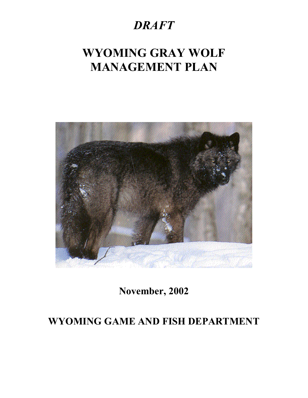## *DRAFT*

# **WYOMING GRAY WOLF MANAGEMENT PLAN**



**November, 2002** 

## **WYOMING GAME AND FISH DEPARTMENT**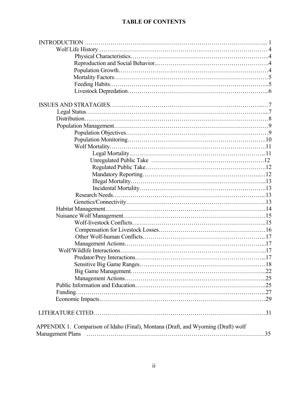## **TABLE OF CONTENTS**

| APPENDIX 1. Comparison of Idaho (Final), Montana (Draft, and Wyoming (Draft) wolf |
|-----------------------------------------------------------------------------------|
|                                                                                   |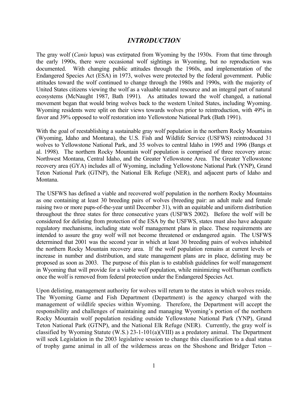#### *INTRODUCTION*

The gray wolf (*Canis* lupus) was extirpated from Wyoming by the 1930s. From that time through the early 1990s, there were occasional wolf sightings in Wyoming, but no reproduction was documented. With changing public attitudes through the 1960s, and implementation of the Endangered Species Act (ESA) in 1973, wolves were protected by the federal government. Public attitudes toward the wolf continued to change through the 1980s and 1990s, with the majority of United States citizens viewing the wolf as a valuable natural resource and an integral part of natural ecosystems (McNaught 1987, Bath 1991). As attitudes toward the wolf changed, a national movement began that would bring wolves back to the western United States, including Wyoming. Wyoming residents were split on their views towards wolves prior to reintroduction, with 49% in favor and 39% opposed to wolf restoration into Yellowstone National Park (Bath 1991).

With the goal of reestablishing a sustainable gray wolf population in the northern Rocky Mountains (Wyoming, Idaho and Montana), the U.S. Fish and Wildlife Service (USFWS) reintroduced 31 wolves to Yellowstone National Park, and 35 wolves to central Idaho in 1995 and 1996 (Bangs et al. 1998). The northern Rocky Mountain wolf population is comprised of three recovery areas: Northwest Montana, Central Idaho, and the Greater Yellowstone Area. The Greater Yellowstone recovery area (GYA) includes all of Wyoming, including Yellowstone National Park (YNP), Grand Teton National Park (GTNP), the National Elk Refuge (NER), and adjacent parts of Idaho and Montana.

The USFWS has defined a viable and recovered wolf population in the northern Rocky Mountains as one containing at least 30 breeding pairs of wolves (breeding pair: an adult male and female raising two or more pups-of-the-year until December 31), with an equitable and uniform distribution throughout the three states for three consecutive years (USFWS 2002). Before the wolf will be considered for delisting from protection of the ESA by the USFWS, states must also have adequate regulatory mechanisms, including state wolf management plans in place. These requirements are intended to assure the gray wolf will not become threatened or endangered again. The USFWS determined that 2001 was the second year in which at least 30 breeding pairs of wolves inhabited the northern Rocky Mountain recovery area. If the wolf population remains at current levels or increase in number and distribution, and state management plans are in place, delisting may be proposed as soon as 2003. The purpose of this plan is to establish guidelines for wolf management in Wyoming that will provide for a viable wolf population, while minimizing wolf/human conflicts once the wolf is removed from federal protection under the Endangered Species Act.

Upon delisting, management authority for wolves will return to the states in which wolves reside. The Wyoming Game and Fish Department (Department) is the agency charged with the management of wildlife species within Wyoming. Therefore, the Department will accept the responsibility and challenges of maintaining and managing Wyoming's portion of the northern Rocky Mountain wolf population residing outside Yellowstone National Park (YNP), Grand Teton National Park (GTNP), and the National Elk Refuge (NER). Currently, the gray wolf is classified by Wyoming Statute (W.S.) 23-1-101(a)(VIII) as a predatory animal. The Department will seek Legislation in the 2003 legislative session to change this classification to a dual status of trophy game animal in all of the wilderness areas on the Shoshone and Bridger Teton –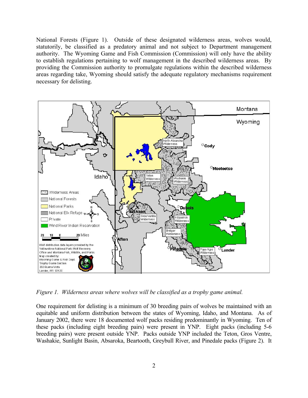National Forests (Figure 1). Outside of these designated wilderness areas, wolves would, statutorily, be classified as a predatory animal and not subject to Department management authority. The Wyoming Game and Fish Commission (Commission) will only have the ability to establish regulations pertaining to wolf management in the described wilderness areas. By providing the Commission authority to promulgate regulations within the described wilderness areas regarding take, Wyoming should satisfy the adequate regulatory mechanisms requirement necessary for delisting.



*Figure 1. Wilderness areas where wolves will be classified as a trophy game animal.* 

One requirement for delisting is a minimum of 30 breeding pairs of wolves be maintained with an equitable and uniform distribution between the states of Wyoming, Idaho, and Montana. As of January 2002, there were 18 documented wolf packs residing predominantly in Wyoming. Ten of these packs (including eight breeding pairs) were present in YNP. Eight packs (including 5-6 breeding pairs) were present outside YNP. Packs outside YNP included the Teton, Gros Ventre, Washakie, Sunlight Basin, Absaroka, Beartooth, Greybull River, and Pinedale packs (Figure 2). It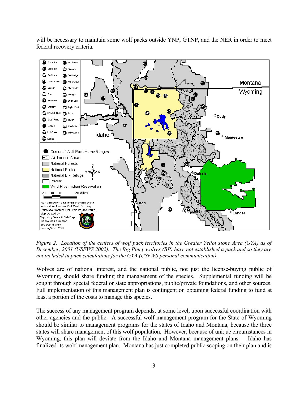will be necessary to maintain some wolf packs outside YNP, GTNP, and the NER in order to meet federal recovery criteria.

![](_page_4_Figure_1.jpeg)

*Figure 2. Location of the centers of wolf pack territories in the Greater Yellowstone Area (GYA) as of December, 2001 (USFWS 2002). The Big Piney wolves (BP) have not established a pack and so they are not included in pack calculations for the GYA (USFWS personal communication).* 

Wolves are of national interest, and the national public, not just the license-buying public of Wyoming, should share funding the management of the species. Supplemental funding will be sought through special federal or state appropriations, public/private foundations, and other sources. Full implementation of this management plan is contingent on obtaining federal funding to fund at least a portion of the costs to manage this species.

The success of any management program depends, at some level, upon successful coordination with other agencies and the public. A successful wolf management program for the State of Wyoming should be similar to management programs for the states of Idaho and Montana, because the three states will share management of this wolf population. However, because of unique circumstances in Wyoming, this plan will deviate from the Idaho and Montana management plans. Idaho has finalized its wolf management plan. Montana has just completed public scoping on their plan and is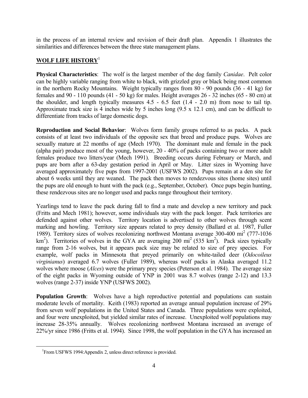in the process of an internal review and revision of their draft plan. Appendix 1 illustrates the similarities and differences between the three state management plans.

### **WOLF LIFE HISTORY**[1](#page-5-0)

**Physical Characteristics**: The wolf is the largest member of the dog family *Canidae*. Pelt color can be highly variable ranging from white to black, with grizzled gray or black being most common in the northern Rocky Mountains. Weight typically ranges from 80 - 90 pounds (36 - 41 kg) for females and 90 - 110 pounds (41 - 50 kg) for males. Height averages 26 - 32 inches (65 - 80 cm) at the shoulder, and length typically measures  $4.5 - 6.5$  feet  $(1.4 - 2.0 \text{ m})$  from nose to tail tip. Approximate track size is 4 inches wide by 5 inches long (9.5 x 12.1 cm), and can be difficult to differentiate from tracks of large domestic dogs.

**Reproduction and Social Behavior**: Wolves form family groups referred to as packs. A pack consists of at least two individuals of the opposite sex that breed and produce pups. Wolves are sexually mature at 22 months of age (Mech 1970). The dominant male and female in the pack (alpha pair) produce most of the young, however, 20 - 40% of packs containing two or more adult females produce two litters/year (Mech 1991). Breeding occurs during February or March, and pups are born after a 63-day gestation period in April or May. Litter sizes in Wyoming have averaged approximately five pups from 1997-2001 (USFWS 2002). Pups remain at a den site for about 6 weeks until they are weaned. The pack then moves to rendezvous sites (home sites) until the pups are old enough to hunt with the pack (e.g., September, October). Once pups begin hunting, these rendezvous sites are no longer used and packs range throughout their territory.

Yearlings tend to leave the pack during fall to find a mate and develop a new territory and pack (Fritts and Mech 1981); however, some individuals stay with the pack longer. Pack territories are defended against other wolves. Territory location is advertised to other wolves through scent marking and howling. Territory size appears related to prey density (Ballard et al. 1987, Fuller 1989). Territory sizes of wolves recolonizing northwest Montana average 300-400 mi<sup>2</sup> (777-1036) km<sup>2</sup>). Territories of wolves in the GYA are averaging 200 mi<sup>2</sup> (535 km<sup>2</sup>). Pack sizes typically range from 2-16 wolves, but it appears pack size may be related to size of prey species. For example, wolf packs in Minnesota that preyed primarily on white-tailed deer (*Odocoileus virginianus*) averaged 6.7 wolves (Fuller 1989), whereas wolf packs in Alaska averaged 11.2 wolves where moose (*Alces*) were the primary prey species (Peterson et al. 1984). The average size of the eight packs in Wyoming outside of YNP in 2001 was 8.7 wolves (range 2-12) and 13.3 wolves (range 2-37) inside YNP (USFWS 2002).

**Population Growth**: Wolves have a high reproductive potential and populations can sustain moderate levels of mortality. Keith (1983) reported an average annual population increase of 29% from seven wolf populations in the United States and Canada. Three populations were exploited, and four were unexploited, but yielded similar rates of increase. Unexploited wolf populations may increase 28-35% annually. Wolves recolonizing northwest Montana increased an average of 22%/yr since 1986 (Fritts et al. 1994). Since 1998, the wolf population in the GYA has increased an

<u>.</u>

<span id="page-5-0"></span><sup>&</sup>lt;sup>1</sup> From USFWS 1994: Appendix 2, unless direct reference is provided.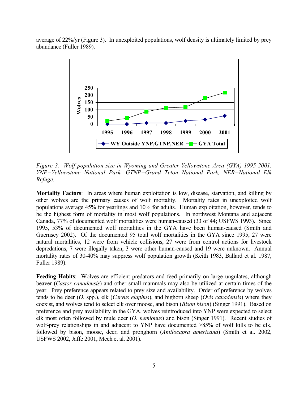average of 22%/yr (Figure 3). In unexploited populations, wolf density is ultimately limited by prey abundance (Fuller 1989).

![](_page_6_Figure_1.jpeg)

*Figure 3. Wolf population size in Wyoming and Greater Yellowstone Area (GYA) 1995-2001. YNP=Yellowstone National Park, GTNP=Grand Teton National Park, NER=National Elk Refuge.* 

**Mortality Factors**: In areas where human exploitation is low, disease, starvation, and killing by other wolves are the primary causes of wolf mortality. Mortality rates in unexploited wolf populations average 45% for yearlings and 10% for adults. Human exploitation, however, tends to be the highest form of mortality in most wolf populations. In northwest Montana and adjacent Canada, 77% of documented wolf mortalities were human-caused (33 of 44; USFWS 1993). Since 1995, 53% of documented wolf mortalities in the GYA have been human-caused (Smith and Guernsey 2002). Of the documented 95 total wolf mortalities in the GYA since 1995, 27 were natural mortalities, 12 were from vehicle collisions, 27 were from control actions for livestock depredations, 7 were illegally taken, 3 were other human-caused and 19 were unknown. Annual mortality rates of 30-40% may suppress wolf population growth (Keith 1983, Ballard et al. 1987, Fuller 1989).

Feeding Habits: Wolves are efficient predators and feed primarily on large ungulates, although beaver (*Castor canadensis*) and other small mammals may also be utilized at certain times of the year. Prey preference appears related to prey size and availability. Order of preference by wolves tends to be deer (*O.* spp.), elk (*Cervus elaphus*), and bighorn sheep (*Ovis canadensis*) where they coexist, and wolves tend to select elk over moose, and bison (*Bison bison*) (Singer 1991). Based on preference and prey availability in the GYA, wolves reintroduced into YNP were expected to select elk most often followed by mule deer (*O. hemionus*) and bison (Singer 1991). Recent studies of wolf-prey relationships in and adjacent to YNP have documented >85% of wolf kills to be elk, followed by bison, moose, deer, and pronghorn (*Antilocapra americana*) (Smith et al. 2002, USFWS 2002, Jaffe 2001, Mech et al. 2001).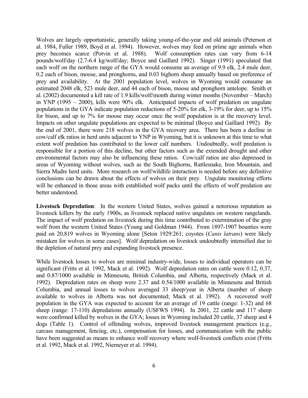Wolves are largely opportunistic, generally taking young-of-the-year and old animals (Peterson et al. 1984, Fuller 1989, Boyd et al. 1994). However, wolves may feed on prime age animals when prey becomes scarce (Potvin et al. 1988). Wolf consumption rates can vary from 6-14 pounds/wolf/day (2.7-6.4 kg/wolf/day; Boyce and Gaillard 1992). Singer (1991) speculated that each wolf on the northern range of the GYA would consume an average of 9.9 elk, 2.4 mule deer, 0.2 each of bison, moose, and pronghorns, and 0.03 bighorn sheep annually based on preference of prey and availability. At the 2001 population level, wolves in Wyoming would consume an estimated 2048 elk, 523 mule deer, and 44 each of bison, moose and pronghorn antelope. Smith et al. (2002) documented a kill rate of 1.9 kills/wolf/month during winter months (November – March) in YNP (1995 – 2000), kills were 90% elk. Anticipated impacts of wolf predation on ungulate populations in the GYA indicate population reductions of 5-20% for elk, 3-19% for deer, up to 15% for bison, and up to 7% for moose may occur once the wolf population is at the recovery level. Impacts on other ungulate populations are expected to be minimal (Boyce and Gaillard 1992). By the end of 2001, there were 218 wolves in the GYA recovery area. There has been a decline in cow/calf elk ratios in herd units adjacent to YNP in Wyoming, but it is unknown at this time to what extent wolf predation has contributed to the lower calf numbers. Undoubtedly, wolf predation is responsible for a portion of this decline, but other factors such as the extended drought and other environmental factors may also be influencing these ratios. Cow/calf ratios are also depressed in areas of Wyoming without wolves, such as the South Bighorns, Rattlesnake, Iron Mountain, and Sierra Madre herd units. More research on wolf/wildlife interaction is needed before any definitive conclusions can be drawn about the effects of wolves on their prey. Ungulate monitoring efforts will be enhanced in those areas with established wolf packs until the effects of wolf predation are better understood.

**Livestock Depredation**: In the western United States, wolves gained a notorious reputation as livestock killers by the early 1900s, as livestock replaced native ungulates on western rangelands. The impact of wolf predation on livestock during this time contributed to extermination of the gray wolf from the western United States (Young and Goldman 1944). From 1897-1907 bounties were paid on 20,819 wolves in Wyoming alone [Seton 1929:261; coyotes (*Canis latrans*) were likely mistaken for wolves in some cases]. Wolf depredation on livestock undoubtedly intensified due to the depletion of natural prey and expanding livestock presence.

While livestock losses to wolves are minimal industry-wide, losses to individual operators can be significant (Fritts et al. 1992, Mack et al. 1992). Wolf depredation rates on cattle were 0.12, 0.37, and 0.87/1000 available in Minnesota, British Columbia, and Alberta, respectively (Mack et al. 1992). Depredation rates on sheep were 2.37 and 0.54/1000 available in Minnesota and British Columbia, and annual losses to wolves averaged 33 sheep/year in Alberta (number of sheep available to wolves in Alberta was not documented; Mack et al. 1992). A recovered wolf population in the GYA was expected to account for an average of 19 cattle (range: 1-32) and 68 sheep (range: 17-110) depredations annually (USFWS 1994). In 2001, 22 cattle and 117 sheep were confirmed killed by wolves in the GYA; losses in Wyoming included 20 cattle, 37 sheep and 4 dogs (Table 1). Control of offending wolves, improved livestock management practices (e.g., carcass management, fencing, etc.), compensation for losses, and communication with the public have been suggested as means to enhance wolf recovery where wolf-livestock conflicts exist (Fritts et al. 1992, Mack et al. 1992, Niemeyer et al. 1994).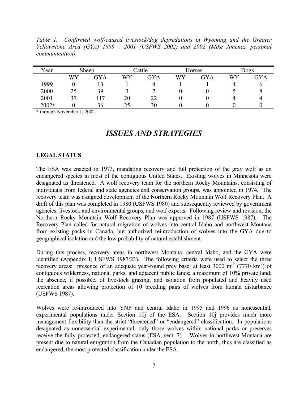Table 1. Confirmed wolf-caused livestock/dog depredations in Wyoming and the Greater *Yellowstone Area (GYA) 1999 – 2001 (USFWS 2002) and 2002 (Mike Jimenez, personal communication).* 

| Year  |    | Sheep |    | Cattle     |    | Horses     |    | <b>Dogs</b> |
|-------|----|-------|----|------------|----|------------|----|-------------|
|       | WY | GYA   | WY | <b>GYA</b> | WY | <b>GYA</b> | WY | <b>GYA</b>  |
| 1999  |    |       |    |            |    |            | 4  | υ           |
| 2000  | 25 | 39    |    |            |    |            |    | O           |
| 2001  | 37 | 117   | 20 | 22         |    |            |    |             |
| 2002* |    | 36    | 25 | 30         |    |            |    |             |

\* through November 1, 2002.

## *ISSUES AND STRATEGIES*

#### **LEGAL STATUS**

The ESA was enacted in 1973, mandating recovery and full protection of the gray wolf as an endangered species in most of the contiguous United States. Existing wolves in Minnesota were designated as threatened. A wolf recovery team for the northern Rocky Mountains, consisting of individuals from federal and state agencies and conservation groups, was appointed in 1974. The recovery team was assigned development of the Northern Rocky Mountain Wolf Recovery Plan. A draft of this plan was completed in 1980 (USFWS 1980) and subsequently reviewed by government agencies, livestock and environmental groups, and wolf experts. Following review and revision, the Northern Rocky Mountain Wolf Recovery Plan was approved in 1987 (USFWS 1987). The Recovery Plan called for natural migration of wolves into central Idaho and northwest Montana from existing packs in Canada, but authorized reintroduction of wolves into the GYA due to geographical isolation and the low probability of natural establishment.

During this process, recovery areas in northwest Montana, central Idaho, and the GYA were identified (Appendix I; USFWS 1987:23). The following criteria were used to select the three recovery areas: presence of an adequate year-round prey base; at least 3000 mi<sup>2</sup> (7770 km<sup>2</sup>) of contiguous wilderness, national parks, and adjacent public lands; a maximum of 10% private land; the absence, if possible, of livestock grazing; and isolation from populated and heavily used recreation areas allowing protection of 10 breeding pairs of wolves from human disturbance (USFWS 1987).

Wolves were re-introduced into YNP and central Idaho in 1995 and 1996 as nonessential, experimental populations under Section 10j of the ESA. Section 10j provides much more management flexibility than the strict "threatened" or "endangered" classification. In populations designated as nonessential experimental, only those wolves within national parks or preserves receive the fully protected, endangered status (ESA, sect. 7). Wolves in northwest Montana are present due to natural emigration from the Canadian population to the north, thus are classified as endangered, the most protected classification under the ESA.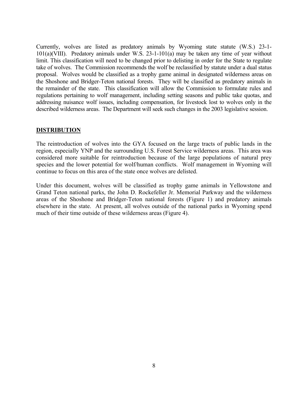Currently, wolves are listed as predatory animals by Wyoming state statute (W.S.) 23-1- 101(a)(VIII). Predatory animals under W.S. 23-1-101(a) may be taken any time of year without limit. This classification will need to be changed prior to delisting in order for the State to regulate take of wolves. The Commission recommends the wolf be reclassified by statute under a dual status proposal. Wolves would be classified as a trophy game animal in designated wilderness areas on the Shoshone and Bridger-Teton national forests. They will be classified as predatory animals in the remainder of the state. This classification will allow the Commission to formulate rules and regulations pertaining to wolf management, including setting seasons and public take quotas, and addressing nuisance wolf issues, including compensation, for livestock lost to wolves only in the described wilderness areas. The Department will seek such changes in the 2003 legislative session.

#### **DISTRIBUTION**

The reintroduction of wolves into the GYA focused on the large tracts of public lands in the region, especially YNP and the surrounding U.S. Forest Service wilderness areas. This area was considered more suitable for reintroduction because of the large populations of natural prey species and the lower potential for wolf/human conflicts. Wolf management in Wyoming will continue to focus on this area of the state once wolves are delisted.

Under this document, wolves will be classified as trophy game animals in Yellowstone and Grand Teton national parks, the John D. Rockefeller Jr. Memorial Parkway and the wilderness areas of the Shoshone and Bridger-Teton national forests (Figure 1) and predatory animals elsewhere in the state. At present, all wolves outside of the national parks in Wyoming spend much of their time outside of these wilderness areas (Figure 4).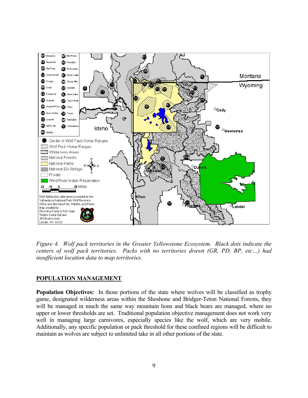![](_page_10_Figure_0.jpeg)

*Figure 4. Wolf pack territories in the Greater Yellowstone Ecosystem. Black dots indicate the centers of wolf pack territories. Packs with no territories drawn (GR, PD, BP, etc…) had insufficient location data to map territories.*

#### **POPULATION MANAGEMENT**

**Population Objectives:** In those portions of the state where wolves will be classified as trophy game, designated wilderness areas within the Shoshone and Bridger-Teton National Forests, they will be managed in much the same way mountain lions and black bears are managed, where no upper or lower thresholds are set. Traditional population objective management does not work very well in managing large carnivores, especially species like the wolf, which are very mobile. Additionally, any specific population or pack threshold for these confined regions will be difficult to maintain as wolves are subject to unlimited take in all other portions of the state.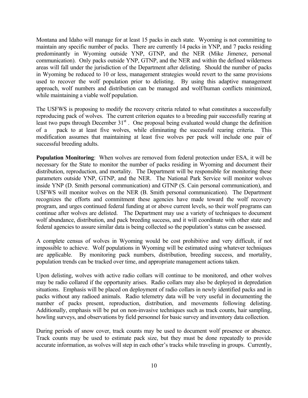Montana and Idaho will manage for at least 15 packs in each state. Wyoming is not committing to maintain any specific number of packs. There are currently 14 packs in YNP, and 7 packs residing predominantly in Wyoming outside YNP, GTNP, and the NER (Mike Jimenez, personal communication). Only packs outside YNP, GTNP, and the NER and within the defined wilderness areas will fall under the jurisdiction of the Department after delisting. Should the number of packs in Wyoming be reduced to 10 or less, management strategies would revert to the same provisions used to recover the wolf population prior to delisting. By using this adaptive management approach, wolf numbers and distribution can be managed and wolf/human conflicts minimized, while maintaining a viable wolf population.

The USFWS is proposing to modify the recovery criteria related to what constitutes a successfully reproducing pack of wolves. The current criterion equates to a breeding pair successfully rearing at least two pups through December  $31<sup>st</sup>$ . One proposal being evaluated would change the definition of a pack to at least five wolves, while eliminating the successful rearing criteria. This modification assumes that maintaining at least five wolves per pack will include one pair of successful breeding adults.

**Population Monitoring**: When wolves are removed from federal protection under ESA, it will be necessary for the State to monitor the number of packs residing in Wyoming and document their distribution, reproduction, and mortality. The Department will be responsible for monitoring these parameters outside YNP, GTNP, and the NER. The National Park Service will monitor wolves inside YNP (D. Smith personal communication) and GTNP (S. Cain personal communication), and USFWS will monitor wolves on the NER (B. Smith personal communication). The Department recognizes the efforts and commitment these agencies have made toward the wolf recovery program, and urges continued federal funding at or above current levels, so their wolf programs can continue after wolves are delisted. The Department may use a variety of techniques to document wolf abundance, distribution, and pack breeding success, and it will coordinate with other state and federal agencies to assure similar data is being collected so the population's status can be assessed.

A complete census of wolves in Wyoming would be cost prohibitive and very difficult, if not impossible to achieve. Wolf populations in Wyoming will be estimated using whatever techniques are applicable. By monitoring pack numbers, distribution, breeding success, and mortality, population trends can be tracked over time, and appropriate management actions taken.

Upon delisting, wolves with active radio collars will continue to be monitored, and other wolves may be radio collared if the opportunity arises. Radio collars may also be deployed in depredation situations. Emphasis will be placed on deployment of radio collars in newly identified packs and in packs without any radioed animals. Radio telemetry data will be very useful in documenting the number of packs present, reproduction, distribution, and movements following delisting. Additionally, emphasis will be put on non-invasive techniques such as track counts, hair sampling, howling surveys, and observations by field personnel for basic survey and inventory data collection.

During periods of snow cover, track counts may be used to document wolf presence or absence. Track counts may be used to estimate pack size, but they must be done repeatedly to provide accurate information, as wolves will step in each other's tracks while traveling in groups. Currently,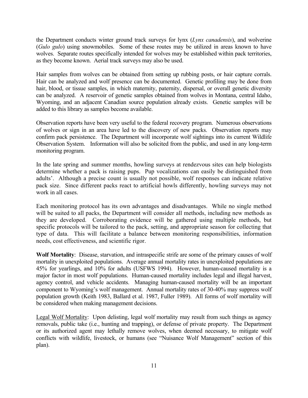the Department conducts winter ground track surveys for lynx (*Lynx canadensis*), and wolverine (*Gulo gulo*) using snowmobiles. Some of these routes may be utilized in areas known to have wolves. Separate routes specifically intended for wolves may be established within pack territories, as they become known. Aerial track surveys may also be used.

Hair samples from wolves can be obtained from setting up rubbing posts, or hair capture corrals. Hair can be analyzed and wolf presence can be documented. Genetic profiling may be done from hair, blood, or tissue samples, in which maternity, paternity, dispersal, or overall genetic diversity can be analyzed. A reservoir of genetic samples obtained from wolves in Montana, central Idaho, Wyoming, and an adjacent Canadian source population already exists. Genetic samples will be added to this library as samples become available.

Observation reports have been very useful to the federal recovery program. Numerous observations of wolves or sign in an area have led to the discovery of new packs. Observation reports may confirm pack persistence. The Department will incorporate wolf sightings into its current Wildlife Observation System. Information will also be solicited from the public, and used in any long-term monitoring program.

In the late spring and summer months, howling surveys at rendezvous sites can help biologists determine whether a pack is raising pups. Pup vocalizations can easily be distinguished from adults'. Although a precise count is usually not possible, wolf responses can indicate relative pack size. Since different packs react to artificial howls differently, howling surveys may not work in all cases.

Each monitoring protocol has its own advantages and disadvantages. While no single method will be suited to all packs, the Department will consider all methods, including new methods as they are developed. Corroborating evidence will be gathered using multiple methods, but specific protocols will be tailored to the pack, setting, and appropriate season for collecting that type of data. This will facilitate a balance between monitoring responsibilities, information needs, cost effectiveness, and scientific rigor.

**Wolf Mortality**: Disease, starvation, and intraspecific strife are some of the primary causes of wolf mortality in unexploited populations. Average annual mortality rates in unexploited populations are 45% for yearlings, and 10% for adults (USFWS 1994). However, human-caused mortality is a major factor in most wolf populations. Human-caused mortality includes legal and illegal harvest, agency control, and vehicle accidents. Managing human-caused mortality will be an important component to Wyoming's wolf management. Annual mortality rates of 30-40% may suppress wolf population growth (Keith 1983, Ballard et al. 1987, Fuller 1989). All forms of wolf mortality will be considered when making management decisions.

Legal Wolf Mortality: Upon delisting, legal wolf mortality may result from such things as agency removals, public take (i.e., hunting and trapping), or defense of private property. The Department or its authorized agent may lethally remove wolves, when deemed necessary, to mitigate wolf conflicts with wildlife, livestock, or humans (see "Nuisance Wolf Management" section of this plan).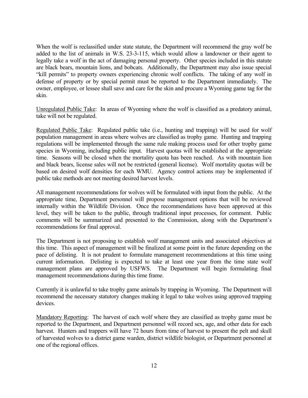When the wolf is reclassified under state statute, the Department will recommend the gray wolf be added to the list of animals in W.S. 23-3-115, which would allow a landowner or their agent to legally take a wolf in the act of damaging personal property. Other species included in this statute are black bears, mountain lions, and bobcats. Additionally, the Department may also issue special "kill permits" to property owners experiencing chronic wolf conflicts. The taking of any wolf in defense of property or by special permit must be reported to the Department immediately. The owner, employee, or lessee shall save and care for the skin and procure a Wyoming game tag for the skin.

Unregulated Public Take: In areas of Wyoming where the wolf is classified as a predatory animal, take will not be regulated.

Regulated Public Take: Regulated public take (i.e., hunting and trapping) will be used for wolf population management in areas where wolves are classified as trophy game. Hunting and trapping regulations will be implemented through the same rule making process used for other trophy game species in Wyoming, including public input. Harvest quotas will be established at the appropriate time. Seasons will be closed when the mortality quota has been reached. As with mountain lion and black bears, license sales will not be restricted (general license). Wolf mortality quotas will be based on desired wolf densities for each WMU. Agency control actions may be implemented if public take methods are not meeting desired harvest levels.

All management recommendations for wolves will be formulated with input from the public. At the appropriate time, Department personnel will propose management options that will be reviewed internally within the Wildlife Division. Once the recommendations have been approved at this level, they will be taken to the public, through traditional input processes, for comment. Public comments will be summarized and presented to the Commission, along with the Department's recommendations for final approval.

The Department is not proposing to establish wolf management units and associated objectives at this time. This aspect of management will be finalized at some point in the future depending on the pace of delisting. It is not prudent to formulate management recommendations at this time using current information. Delisting is expected to take at least one year from the time state wolf management plans are approved by USFWS. The Department will begin formulating final management recommendations during this time frame.

Currently it is unlawful to take trophy game animals by trapping in Wyoming. The Department will recommend the necessary statutory changes making it legal to take wolves using approved trapping devices.

Mandatory Reporting: The harvest of each wolf where they are classified as trophy game must be reported to the Department, and Department personnel will record sex, age, and other data for each harvest. Hunters and trappers will have 72 hours from time of harvest to present the pelt and skull of harvested wolves to a district game warden, district wildlife biologist, or Department personnel at one of the regional offices.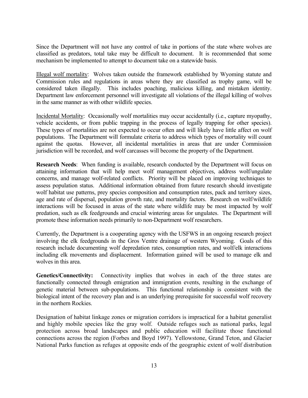Since the Department will not have any control of take in portions of the state where wolves are classified as predators, total take may be difficult to document. It is recommended that some mechanism be implemented to attempt to document take on a statewide basis.

Illegal wolf mortality: Wolves taken outside the framework established by Wyoming statute and Commission rules and regulations in areas where they are classified as trophy game, will be considered taken illegally. This includes poaching, malicious killing, and mistaken identity. Department law enforcement personnel will investigate all violations of the illegal killing of wolves in the same manner as with other wildlife species.

Incidental Mortality: Occasionally wolf mortalities may occur accidentally (i.e., capture myopathy, vehicle accidents, or from public trapping in the process of legally trapping for other species). These types of mortalities are not expected to occur often and will likely have little affect on wolf populations. The Department will formulate criteria to address which types of mortality will count against the quotas. However, all incidental mortalities in areas that are under Commission jurisdiction will be recorded, and wolf carcasses will become the property of the Department.

**Research Needs**: When funding is available, research conducted by the Department will focus on attaining information that will help meet wolf management objectives, address wolf/ungulate concerns, and manage wolf-related conflicts. Priority will be placed on improving techniques to assess population status. Additional information obtained from future research should investigate wolf habitat use patterns, prey species composition and consumption rates, pack and territory sizes, age and rate of dispersal, population growth rate, and mortality factors. Research on wolf/wildlife interactions will be focused in areas of the state where wildlife may be most impacted by wolf predation, such as elk feedgrounds and crucial wintering areas for ungulates. The Department will promote these information needs primarily to non-Department wolf researchers.

Currently, the Department is a cooperating agency with the USFWS in an ongoing research project involving the elk feedgrounds in the Gros Ventre drainage of western Wyoming. Goals of this research include documenting wolf depredation rates, consumption rates, and wolf/elk interactions including elk movements and displacement. Information gained will be used to manage elk and wolves in this area.

**Genetics/Connectivity:** Connectivity implies that wolves in each of the three states are functionally connected through emigration and immigration events, resulting in the exchange of genetic material between sub-populations. This functional relationship is consistent with the biological intent of the recovery plan and is an underlying prerequisite for successful wolf recovery in the northern Rockies.

Designation of habitat linkage zones or migration corridors is impractical for a habitat generalist and highly mobile species like the gray wolf. Outside refuges such as national parks, legal protection across broad landscapes and public education will facilitate those functional connections across the region (Forbes and Boyd 1997). Yellowstone, Grand Teton, and Glacier National Parks function as refuges at opposite ends of the geographic extent of wolf distribution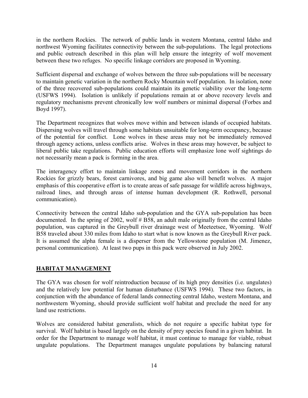in the northern Rockies. The network of public lands in western Montana, central Idaho and northwest Wyoming facilitates connectivity between the sub-populations. The legal protections and public outreach described in this plan will help ensure the integrity of wolf movement between these two refuges. No specific linkage corridors are proposed in Wyoming.

Sufficient dispersal and exchange of wolves between the three sub-populations will be necessary to maintain genetic variation in the northern Rocky Mountain wolf population. In isolation, none of the three recovered sub-populations could maintain its genetic viability over the long-term (USFWS 1994). Isolation is unlikely if populations remain at or above recovery levels and regulatory mechanisms prevent chronically low wolf numbers or minimal dispersal (Forbes and Boyd 1997).

The Department recognizes that wolves move within and between islands of occupied habitats. Dispersing wolves will travel through some habitats unsuitable for long-term occupancy, because of the potential for conflict. Lone wolves in these areas may not be immediately removed through agency actions, unless conflicts arise. Wolves in these areas may however, be subject to liberal public take regulations. Public education efforts will emphasize lone wolf sightings do not necessarily mean a pack is forming in the area.

The interagency effort to maintain linkage zones and movement corridors in the northern Rockies for grizzly bears, forest carnivores, and big game also will benefit wolves. A major emphasis of this cooperative effort is to create areas of safe passage for wildlife across highways, railroad lines, and through areas of intense human development (R. Rothwell, personal communication).

Connectivity between the central Idaho sub-population and the GYA sub-population has been documented. In the spring of 2002, wolf # B58, an adult male originally from the central Idaho population, was captured in the Greybull river drainage west of Meeteetsee, Wyoming. Wolf B58 traveled about 330 miles from Idaho to start what is now known as the Greybull River pack. It is assumed the alpha female is a disperser from the Yellowstone population (M. Jimenez, personal communication). At least two pups in this pack were observed in July 2002.

#### **HABITAT MANAGEMENT**

The GYA was chosen for wolf reintroduction because of its high prey densities (i.e. ungulates) and the relatively low potential for human disturbance (USFWS 1994). These two factors, in conjunction with the abundance of federal lands connecting central Idaho, western Montana, and northwestern Wyoming, should provide sufficient wolf habitat and preclude the need for any land use restrictions.

Wolves are considered habitat generalists, which do not require a specific habitat type for survival. Wolf habitat is based largely on the density of prey species found in a given habitat. In order for the Department to manage wolf habitat, it must continue to manage for viable, robust ungulate populations. The Department manages ungulate populations by balancing natural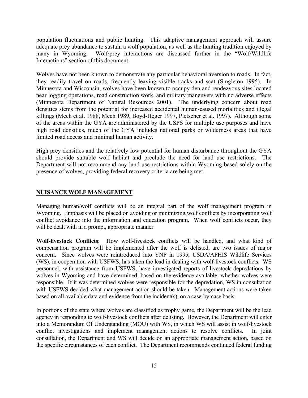population fluctuations and public hunting. This adaptive management approach will assure adequate prey abundance to sustain a wolf population, as well as the hunting tradition enjoyed by many in Wyoming. Wolf/prey interactions are discussed further in the "Wolf/Wildlife Interactions" section of this document.

Wolves have not been known to demonstrate any particular behavioral aversion to roads, In fact, they readily travel on roads, frequently leaving visible tracks and scat (Singleton 1995). In Minnesota and Wisconsin, wolves have been known to occupy den and rendezvous sites located near logging operations, road construction work, and military maneuvers with no adverse effects (Minnesota Department of Natural Resources 2001). The underlying concern about road densities stems from the potential for increased accidental human-caused mortalities and illegal killings (Mech et al. 1988, Mech 1989, Boyd-Heger 1997, Pletscher et al. 1997). Although some of the areas within the GYA are administered by the USFS for multiple use purposes and have high road densities, much of the GYA includes national parks or wilderness areas that have limited road access and minimal human activity.

High prey densities and the relatively low potential for human disturbance throughout the GYA should provide suitable wolf habitat and preclude the need for land use restrictions. The Department will not recommend any land use restrictions within Wyoming based solely on the presence of wolves, providing federal recovery criteria are being met.

#### **NUISANCE WOLF MANAGEMENT**

Managing human/wolf conflicts will be an integral part of the wolf management program in Wyoming. Emphasis will be placed on avoiding or minimizing wolf conflicts by incorporating wolf conflict avoidance into the information and education program. When wolf conflicts occur, they will be dealt with in a prompt, appropriate manner.

**Wolf-livestock Conflicts**: How wolf-livestock conflicts will be handled, and what kind of compensation program will be implemented after the wolf is delisted, are two issues of major concern. Since wolves were reintroduced into YNP in 1995, USDA/APHIS Wildlife Services (WS), in cooperation with USFWS, has taken the lead in dealing with wolf-livestock conflicts. WS personnel, with assistance from USFWS, have investigated reports of livestock depredations by wolves in Wyoming and have determined, based on the evidence available, whether wolves were responsible. If it was determined wolves were responsible for the depredation, WS in consultation with USFWS decided what management action should be taken. Management actions were taken based on all available data and evidence from the incident(s), on a case-by-case basis.

In portions of the state where wolves are classified as trophy game, the Department will be the lead agency in responding to wolf-livestock conflicts after delisting. However, the Department will enter into a Memorandum Of Understanding (MOU) with WS, in which WS will assist in wolf-livestock conflict investigations and implement management actions to resolve conflicts. In joint consultation, the Department and WS will decide on an appropriate management action, based on the specific circumstances of each conflict. The Department recommends continued federal funding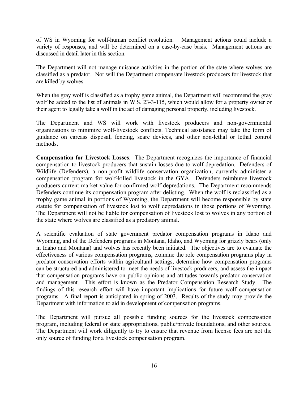of WS in Wyoming for wolf-human conflict resolution. Management actions could include a variety of responses, and will be determined on a case-by-case basis. Management actions are discussed in detail later in this section.

The Department will not manage nuisance activities in the portion of the state where wolves are classified as a predator. Nor will the Department compensate livestock producers for livestock that are killed by wolves.

When the gray wolf is classified as a trophy game animal, the Department will recommend the gray wolf be added to the list of animals in W.S. 23-3-115, which would allow for a property owner or their agent to legally take a wolf in the act of damaging personal property, including livestock.

The Department and WS will work with livestock producers and non-governmental organizations to minimize wolf-livestock conflicts. Technical assistance may take the form of guidance on carcass disposal, fencing, scare devices, and other non-lethal or lethal control methods.

**Compensation for Livestock Losses**: The Department recognizes the importance of financial compensation to livestock producers that sustain losses due to wolf depredation. Defenders of Wildlife (Defenders), a non-profit wildlife conservation organization, currently administer a compensation program for wolf-killed livestock in the GYA. Defenders reimburse livestock producers current market value for confirmed wolf depredations. The Department recommends Defenders continue its compensation program after delisting. When the wolf is reclassified as a trophy game animal in portions of Wyoming, the Department will become responsible by state statute for compensation of livestock lost to wolf depredations in those portions of Wyoming. The Department will not be liable for compensation of livestock lost to wolves in any portion of the state where wolves are classified as a predatory animal.

A scientific evaluation of state government predator compensation programs in Idaho and Wyoming, and of the Defenders programs in Montana, Idaho, and Wyoming for grizzly bears (only in Idaho and Montana) and wolves has recently been initiated. The objectives are to evaluate the effectiveness of various compensation programs, examine the role compensation programs play in predator conservation efforts within agricultural settings, determine how compensation programs can be structured and administered to meet the needs of livestock producers, and assess the impact that compensation programs have on public opinions and attitudes towards predator conservation and management. This effort is known as the Predator Compensation Research Study. findings of this research effort will have important implications for future wolf compensation programs. A final report is anticipated in spring of 2003. Results of the study may provide the Department with information to aid in development of compensation programs.

The Department will pursue all possible funding sources for the livestock compensation program, including federal or state appropriations, public/private foundations, and other sources. The Department will work diligently to try to ensure that revenue from license fees are not the only source of funding for a livestock compensation program.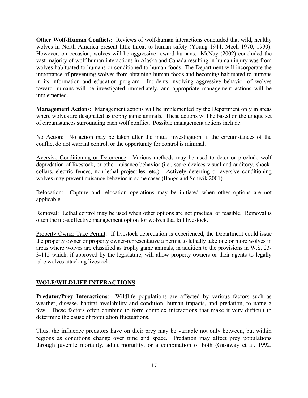**Other Wolf-Human Conflicts**: Reviews of wolf-human interactions concluded that wild, healthy wolves in North America present little threat to human safety (Young 1944, Mech 1970, 1990). However, on occasion, wolves will be aggressive toward humans. McNay (2002) concluded the vast majority of wolf-human interactions in Alaska and Canada resulting in human injury was from wolves habituated to humans or conditioned to human foods. The Department will incorporate the importance of preventing wolves from obtaining human foods and becoming habituated to humans in its information and education program. Incidents involving aggressive behavior of wolves toward humans will be investigated immediately, and appropriate management actions will be implemented.

**Management Actions**: Management actions will be implemented by the Department only in areas where wolves are designated as trophy game animals. These actions will be based on the unique set of circumstances surrounding each wolf conflict. Possible management actions include:

No Action: No action may be taken after the initial investigation, if the circumstances of the conflict do not warrant control, or the opportunity for control is minimal.

Aversive Conditioning or Deterrence: Various methods may be used to deter or preclude wolf depredation of livestock, or other nuisance behavior (i.e., scare devices-visual and auditory, shockcollars, electric fences, non-lethal projectiles, etc.). Actively deterring or aversive conditioning wolves may prevent nuisance behavior in some cases (Bangs and Schivik 2001).

Relocation: Capture and relocation operations may be initiated when other options are not applicable.

Removal: Lethal control may be used when other options are not practical or feasible. Removal is often the most effective management option for wolves that kill livestock.

Property Owner Take Permit: If livestock depredation is experienced, the Department could issue the property owner or property owner-representative a permit to lethally take one or more wolves in areas where wolves are classified as trophy game animals, in addition to the provisions in W.S. 23- 3-115 which, if approved by the legislature, will allow property owners or their agents to legally take wolves attacking livestock.

#### **WOLF/WILDLIFE INTERACTIONS**

**Predator/Prey Interactions**:Wildlife populations are affected by various factors such as weather, disease, habitat availability and condition, human impacts, and predation, to name a few. These factors often combine to form complex interactions that make it very difficult to determine the cause of population fluctuations.

Thus, the influence predators have on their prey may be variable not only between, but within regions as conditions change over time and space. Predation may affect prey populations through juvenile mortality, adult mortality, or a combination of both (Gasaway et al. 1992,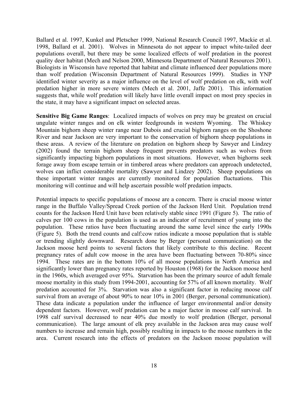Ballard et al. 1997, Kunkel and Pletscher 1999, National Research Council 1997, Mackie et al. 1998, Ballard et al. 2001). Wolves in Minnesota do not appear to impact white-tailed deer populations overall, but there may be some localized effects of wolf predation in the poorest quality deer habitat (Mech and Nelson 2000, Minnesota Department of Natural Resources 2001). Biologists in Wisconsin have reported that habitat and climate influenced deer populations more than wolf predation (Wisconsin Department of Natural Resources 1999). Studies in YNP identified winter severity as a major influence on the level of wolf predation on elk, with wolf predation higher in more severe winters (Mech et al. 2001, Jaffe 2001). This information suggests that, while wolf predation will likely have little overall impact on most prey species in the state, it may have a significant impact on selected areas.

**Sensitive Big Game Ranges**: Localized impacts of wolves on prey may be greatest on crucial ungulate winter ranges and on elk winter feedgrounds in western Wyoming. The Whiskey Mountain bighorn sheep winter range near Dubois and crucial bighorn ranges on the Shoshone River and near Jackson are very important to the conservation of bighorn sheep populations in these areas. A review of the literature on predation on bighorn sheep by Sawyer and Lindzey (2002) found the terrain bighorn sheep frequent prevents predators such as wolves from significantly impacting bighorn populations in most situations. However, when bighorns seek forage away from escape terrain or in timbered areas where predators can approach undetected, wolves can inflict considerable mortality (Sawyer and Lindzey 2002). Sheep populations on these important winter ranges are currently monitored for population fluctuations. This monitoring will continue and will help ascertain possible wolf predation impacts.

Potential impacts to specific populations of moose are a concern. There is crucial moose winter range in the Buffalo Valley/Spread Creek portion of the Jackson Herd Unit. Population trend counts for the Jackson Herd Unit have been relatively stable since 1991 (Figure 5). The ratio of calves per 100 cows in the population is used as an indicator of recruitment of young into the population. These ratios have been fluctuating around the same level since the early 1990s (Figure 5). Both the trend counts and calf:cow ratios indicate a moose population that is stable or trending slightly downward. Research done by Berger (personal communication) on the Jackson moose herd points to several factors that likely contribute to this decline. Recent pregnancy rates of adult cow moose in the area have been fluctuating between 70-80% since 1994. These rates are in the bottom 10% of all moose populations in North America and significantly lower than pregnancy rates reported by Houston (1968) for the Jackson moose herd in the 1960s, which averaged over 95%. Starvation has been the primary source of adult female moose mortality in this study from 1994-2001, accounting for 57% of all known mortality. Wolf predation accounted for 3%. Starvation was also a significant factor in reducing moose calf survival from an average of about 90% to near 10% in 2001 (Berger, personal communication). These data indicate a population under the influence of larger environmental and/or density dependent factors. However, wolf predation can be a major factor in moose calf survival. In 1998 calf survival decreased to near 40% due mostly to wolf predation (Berger, personal communication). The large amount of elk prey available in the Jackson area may cause wolf numbers to increase and remain high, possibly resulting in impacts to the moose numbers in the area. Current research into the effects of predators on the Jackson moose population will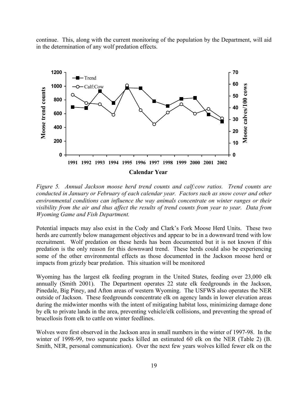continue. This, along with the current monitoring of the population by the Department, will aid in the determination of any wolf predation effects.

![](_page_20_Figure_1.jpeg)

*Figure 5. Annual Jackson moose herd trend counts and calf:cow ratios. Trend counts are conducted in January or February of each calendar year. Factors such as snow cover and other environmental conditions can influence the way animals concentrate on winter ranges or their visibility from the air and thus affect the results of trend counts from year to year. Data from Wyoming Game and Fish Department.* 

Potential impacts may also exist in the Cody and Clark's Fork Moose Herd Units. These two herds are currently below management objectives and appear to be in a downward trend with low recruitment. Wolf predation on these herds has been documented but it is not known if this predation is the only reason for this downward trend. These herds could also be experiencing some of the other environmental effects as those documented in the Jackson moose herd or impacts from grizzly bear predation. This situation will be monitored

Wyoming has the largest elk feeding program in the United States, feeding over 23,000 elk annually (Smith 2001). The Department operates 22 state elk feedgrounds in the Jackson, Pinedale, Big Piney, and Afton areas of western Wyoming. The USFWS also operates the NER outside of Jackson. These feedgrounds concentrate elk on agency lands in lower elevation areas during the midwinter months with the intent of mitigating habitat loss, minimizing damage done by elk to private lands in the area, preventing vehicle/elk collisions, and preventing the spread of brucellosis from elk to cattle on winter feedlines.

Wolves were first observed in the Jackson area in small numbers in the winter of 1997-98. In the winter of 1998-99, two separate packs killed an estimated 60 elk on the NER (Table 2) (B. Smith, NER, personal communication). Over the next few years wolves killed fewer elk on the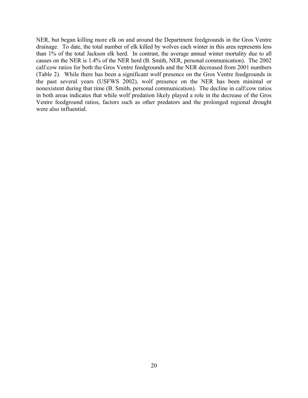NER, but began killing more elk on and around the Department feedgrounds in the Gros Ventre drainage. To date, the total number of elk killed by wolves each winter in this area represents less than 1% of the total Jackson elk herd. In contrast, the average annual winter mortality due to all causes on the NER is 1.4% of the NER herd (B. Smith, NER, personal communication). The 2002 calf:cow ratios for both the Gros Ventre feedgrounds and the NER decreased from 2001 numbers (Table 2). While there has been a significant wolf presence on the Gros Ventre feedgrounds in the past several years (USFWS 2002), wolf presence on the NER has been minimal or nonexistent during that time (B. Smith, personal communication). The decline in calf:cow ratios in both areas indicates that while wolf predation likely played a role in the decrease of the Gros Ventre feedground ratios, factors such as other predators and the prolonged regional drought were also influential.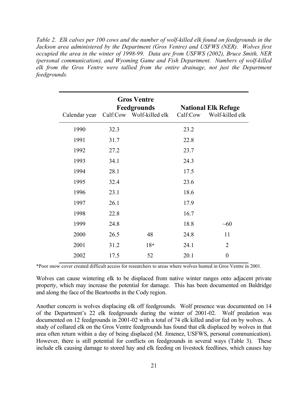*Table 2. Elk calves per 100 cows and the number of wolf-killed elk found on feedgrounds in the Jackson area administered by the Department (Gros Ventre) and USFWS (NER). Wolves first occupied the area in the winter of 1998-99. Data are from USFWS (2002), Bruce Smith, NER (personal communication), and Wyoming Game and Fish Department. Numbers of wolf-killed elk from the Gros Ventre were tallied from the entire drainage, not just the Department feedgrounds.* 

| Calendar year |      | <b>Gros Ventre</b><br>Feedgrounds<br>Calf:Cow Wolf-killed elk | Calf:Cow | <b>National Elk Refuge</b><br>Wolf-killed elk |
|---------------|------|---------------------------------------------------------------|----------|-----------------------------------------------|
| 1990          | 32.3 |                                                               | 23.2     |                                               |
| 1991          | 31.7 |                                                               | 22.8     |                                               |
| 1992          | 27.2 |                                                               | 23.7     |                                               |
| 1993          | 34.1 |                                                               | 24.3     |                                               |
| 1994          | 28.1 |                                                               | 17.5     |                                               |
| 1995          | 32.4 |                                                               | 23.6     |                                               |
| 1996          | 23.1 |                                                               | 18.6     |                                               |
| 1997          | 26.1 |                                                               | 17.9     |                                               |
| 1998          | 22.8 |                                                               | 16.7     |                                               |
| 1999          | 24.8 |                                                               | 18.8     | ~10                                           |
| 2000          | 26.5 | 48                                                            | 24.8     | 11                                            |
| 2001          | 31.2 | $18*$                                                         | 24.1     | $\overline{2}$                                |
| 2002          | 17.5 | 52                                                            | 20.1     | $\boldsymbol{0}$                              |

\*Poor snow cover created difficult access for researchers to areas where wolves hunted in Gros Ventre in 2001.

Wolves can cause wintering elk to be displaced from native winter ranges onto adjacent private property, which may increase the potential for damage. This has been documented on Baldridge and along the face of the Beartooths in the Cody region.

Another concern is wolves displacing elk off feedgrounds. Wolf presence was documented on 14 of the Department's 22 elk feedgrounds during the winter of 2001-02. Wolf predation was documented on 12 feedgrounds in 2001-02 with a total of 74 elk killed and/or fed on by wolves. A study of collared elk on the Gros Ventre feedgrounds has found that elk displaced by wolves in that area often return within a day of being displaced (M. Jimenez, USFWS, personal communication). However, there is still potential for conflicts on feedgrounds in several ways (Table 3). These include elk causing damage to stored hay and elk feeding on livestock feedlines, which causes hay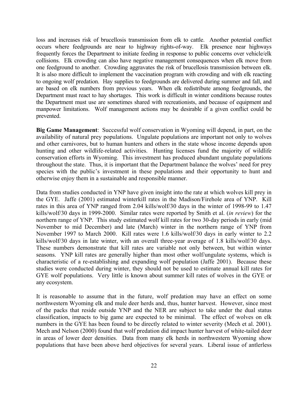loss and increases risk of brucellosis transmission from elk to cattle. Another potential conflict occurs where feedgrounds are near to highway rights-of-way. Elk presence near highways frequently forces the Department to initiate feeding in response to public concerns over vehicle/elk collisions. Elk crowding can also have negative management consequences when elk move from one feedground to another. Crowding aggravates the risk of brucellosis transmission between elk. It is also more difficult to implement the vaccination program with crowding and with elk reacting to ongoing wolf predation. Hay supplies to feedgrounds are delivered during summer and fall, and are based on elk numbers from previous years. When elk redistribute among feedgrounds, the Department must react to hay shortages. This work is difficult in winter conditions because routes the Department must use are sometimes shared with recreationists, and because of equipment and manpower limitations. Wolf management actions may be desirable if a given conflict could be prevented.

**Big Game Management**:Successful wolf conservation in Wyoming will depend, in part, on the availability of natural prey populations. Ungulate populations are important not only to wolves and other carnivores, but to human hunters and others in the state whose income depends upon hunting and other wildlife-related activities. Hunting licenses fund the majority of wildlife conservation efforts in Wyoming. This investment has produced abundant ungulate populations throughout the state. Thus, it is important that the Department balance the wolves' need for prey species with the public's investment in these populations and their opportunity to hunt and otherwise enjoy them in a sustainable and responsible manner.

Data from studies conducted in YNP have given insight into the rate at which wolves kill prey in the GYE. Jaffe (2001) estimated winterkill rates in the Madison/Firehole area of YNP. Kill rates in this area of YNP ranged from 2.04 kills/wolf/30 days in the winter of 1998-99 to 1.47 kills/wolf/30 days in 1999-2000. Similar rates were reported by Smith et al. (*in review*) for the northern range of YNP. This study estimated wolf kill rates for two 30-day periods in early (mid November to mid December) and late (March) winter in the northern range of YNP from November 1997 to March 2000. Kill rates were 1.6 kills/wolf/30 days in early winter to 2.2 kills/wolf/30 days in late winter, with an overall three-year average of 1.8 kills/wolf/30 days. These numbers demonstrate that kill rates are variable not only between, but within winter seasons. YNP kill rates are generally higher than most other wolf/ungulate systems, which is characteristic of a re-establishing and expanding wolf population (Jaffe 2001). Because these studies were conducted during winter, they should not be used to estimate annual kill rates for GYE wolf populations. Very little is known about summer kill rates of wolves in the GYE or any ecosystem.

It is reasonable to assume that in the future, wolf predation may have an effect on some northwestern Wyoming elk and mule deer herds and, thus, hunter harvest. However, since most of the packs that reside outside YNP and the NER are subject to take under the dual status classification, impacts to big game are expected to be minimal. The effect of wolves on elk numbers in the GYE has been found to be directly related to winter severity (Mech et al. 2001). Mech and Nelson (2000) found that wolf predation did impact hunter harvest of white-tailed deer in areas of lower deer densities. Data from many elk herds in northwestern Wyoming show populations that have been above herd objectives for several years. Liberal issue of antlerless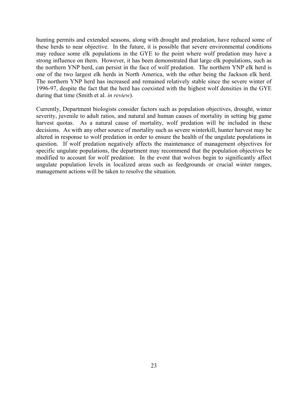hunting permits and extended seasons, along with drought and predation, have reduced some of these herds to near objective. In the future, it is possible that severe environmental conditions may reduce some elk populations in the GYE to the point where wolf predation may have a strong influence on them. However, it has been demonstrated that large elk populations, such as the northern YNP herd, can persist in the face of wolf predation. The northern YNP elk herd is one of the two largest elk herds in North America, with the other being the Jackson elk herd. The northern YNP herd has increased and remained relatively stable since the severe winter of 1996-97, despite the fact that the herd has coexisted with the highest wolf densities in the GYE during that time (Smith et al. *in review*).

Currently, Department biologists consider factors such as population objectives, drought, winter severity, juvenile to adult ratios, and natural and human causes of mortality in setting big game harvest quotas. As a natural cause of mortality, wolf predation will be included in these decisions. As with any other source of mortality such as severe winterkill, hunter harvest may be altered in response to wolf predation in order to ensure the health of the ungulate populations in question. If wolf predation negatively affects the maintenance of management objectives for specific ungulate populations, the department may recommend that the population objectives be modified to account for wolf predation. In the event that wolves begin to significantly affect ungulate population levels in localized areas such as feedgrounds or crucial winter ranges, management actions will be taken to resolve the situation.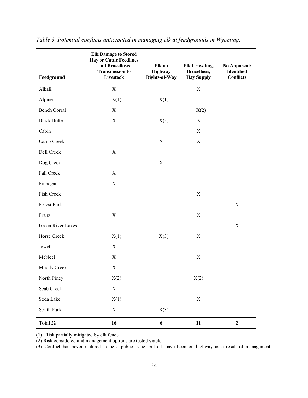| <b>Feedground</b>   | <b>Elk Damage to Stored</b><br><b>Hay or Cattle Feedlines</b><br>and Brucellosis<br><b>Transmission to</b><br><b>Livestock</b> | Elk on<br>Highway<br><b>Rights-of-Way</b> | <b>Elk Crowding,</b><br><b>Brucellosis,</b><br><b>Hay Supply</b> | No Apparent/<br><b>Identified</b><br><b>Conflicts</b> |
|---------------------|--------------------------------------------------------------------------------------------------------------------------------|-------------------------------------------|------------------------------------------------------------------|-------------------------------------------------------|
| Alkali              | X                                                                                                                              |                                           | X                                                                |                                                       |
| Alpine              | X(1)                                                                                                                           | X(1)                                      |                                                                  |                                                       |
| <b>Bench Corral</b> | X                                                                                                                              |                                           | X(2)                                                             |                                                       |
| <b>Black Butte</b>  | $\mathbf X$                                                                                                                    | X(3)                                      | X                                                                |                                                       |
| Cabin               |                                                                                                                                |                                           | X                                                                |                                                       |
| Camp Creek          |                                                                                                                                | X                                         | $\mathbf X$                                                      |                                                       |
| Dell Creek          | $\mathbf X$                                                                                                                    |                                           |                                                                  |                                                       |
| Dog Creek           |                                                                                                                                | X                                         |                                                                  |                                                       |
| Fall Creek          | $\mathbf X$                                                                                                                    |                                           |                                                                  |                                                       |
| Finnegan            | $\mathbf X$                                                                                                                    |                                           |                                                                  |                                                       |
| Fish Creek          |                                                                                                                                |                                           | $\mathbf X$                                                      |                                                       |
| Forest Park         |                                                                                                                                |                                           |                                                                  | $\mathbf X$                                           |
| Franz               | $\mathbf X$                                                                                                                    |                                           | X                                                                |                                                       |
| Green River Lakes   |                                                                                                                                |                                           |                                                                  | X                                                     |
| Horse Creek         | X(1)                                                                                                                           | X(3)                                      | X                                                                |                                                       |
| Jewett              | X                                                                                                                              |                                           |                                                                  |                                                       |
| McNeel              | $\mathbf X$                                                                                                                    |                                           | $\mathbf X$                                                      |                                                       |
| Muddy Creek         | X                                                                                                                              |                                           |                                                                  |                                                       |
| North Piney         | X(2)                                                                                                                           |                                           | X(2)                                                             |                                                       |
| Scab Creek          | $\mathbf X$                                                                                                                    |                                           |                                                                  |                                                       |
| Soda Lake           | X(1)                                                                                                                           |                                           | X                                                                |                                                       |
| South Park          | X                                                                                                                              | X(3)                                      |                                                                  |                                                       |
| <b>Total 22</b>     | 16                                                                                                                             | 6                                         | 11                                                               | $\boldsymbol{2}$                                      |

*Table 3. Potential conflicts anticipated in managing elk at feedgrounds in Wyoming*.

(1) Risk partially mitigated by elk fence

(2) Risk considered and management options are tested viable.

(3) Conflict has never matured to be a public issue, but elk have been on highway as a result of management.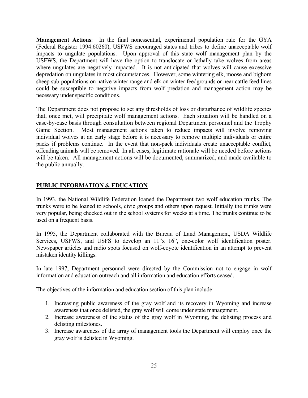**Management Actions**: In the final nonessential, experimental population rule for the GYA (Federal Register 1994:60260), USFWS encouraged states and tribes to define unacceptable wolf impacts to ungulate populations. Upon approval of this state wolf management plan by the USFWS, the Department will have the option to translocate or lethally take wolves from areas where ungulates are negatively impacted. It is not anticipated that wolves will cause excessive depredation on ungulates in most circumstances. However, some wintering elk, moose and bighorn sheep sub-populations on native winter range and elk on winter feedgrounds or near cattle feed lines could be susceptible to negative impacts from wolf predation and management action may be necessary under specific conditions.

The Department does not propose to set any thresholds of loss or disturbance of wildlife species that, once met, will precipitate wolf management actions. Each situation will be handled on a case-by-case basis through consultation between regional Department personnel and the Trophy Game Section. Most management actions taken to reduce impacts will involve removing individual wolves at an early stage before it is necessary to remove multiple individuals or entire packs if problems continue. In the event that non-pack individuals create unacceptable conflict, offending animals will be removed. In all cases, legitimate rationale will be needed before actions will be taken. All management actions will be documented, summarized, and made available to the public annually.

#### **PUBLIC INFORMATION & EDUCATION**

In 1993, the National Wildlife Federation loaned the Department two wolf education trunks. The trunks were to be loaned to schools, civic groups and others upon request. Initially the trunks were very popular, being checked out in the school systems for weeks at a time. The trunks continue to be used on a frequent basis.

In 1995, the Department collaborated with the Bureau of Land Management, USDA Wildlife Services, USFWS, and USFS to develop an 11"x 16", one-color wolf identification poster. Newspaper articles and radio spots focused on wolf-coyote identification in an attempt to prevent mistaken identity killings.

In late 1997, Department personnel were directed by the Commission not to engage in wolf information and education outreach and all information and education efforts ceased.

The objectives of the information and education section of this plan include:

- 1. Increasing public awareness of the gray wolf and its recovery in Wyoming and increase awareness that once delisted, the gray wolf will come under state management.
- 2. Increase awareness of the status of the gray wolf in Wyoming, the delisting process and delisting milestones.
- 3. Increase awareness of the array of management tools the Department will employ once the gray wolf is delisted in Wyoming.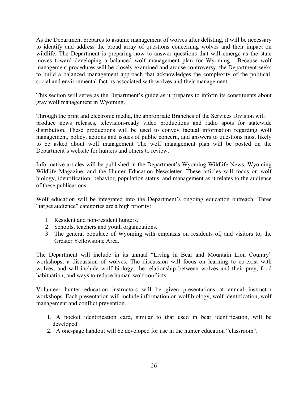As the Department prepares to assume management of wolves after delisting, it will be necessary to identify and address the broad array of questions concerning wolves and their impact on wildlife. The Department is preparing now to answer questions that will emerge as the state moves toward developing a balanced wolf management plan for Wyoming. Because wolf management procedures will be closely examined and arouse controversy, the Department seeks to build a balanced management approach that acknowledges the complexity of the political, social and environmental factors associated with wolves and their management.

This section will serve as the Department's guide as it prepares to inform its constituents about gray wolf management in Wyoming.

Through the print and electronic media, the appropriate Branches of the Services Division will produce news releases, television-ready video productions and radio spots for statewide distribution. These productions will be used to convey factual information regarding wolf management, policy, actions and issues of public concern, and answers to questions most likely to be asked about wolf management The wolf management plan will be posted on the Department's website for hunters and others to review.

Informative articles will be published in the Department's Wyoming Wildlife News, Wyoming Wildlife Magazine, and the Hunter Education Newsletter. These articles will focus on wolf biology, identification, behavior, population status, and management as it relates to the audience of these publications.

Wolf education will be integrated into the Department's ongoing education outreach. Three "target audience" categories are a high priority:

- 1. Resident and non-resident hunters.
- 2. Schools, teachers and youth organizations.
- 3. The general populace of Wyoming with emphasis on residents of, and visitors to, the Greater Yellowstone Area.

The Department will include in its annual "Living in Bear and Mountain Lion Country" workshops, a discussion of wolves. The discussion will focus on learning to co-exist with wolves, and will include wolf biology, the relationship between wolves and their prey, food habituation, and ways to reduce human-wolf conflicts.

Volunteer hunter education instructors will be given presentations at annual instructor workshops. Each presentation will include information on wolf biology, wolf identification, wolf management and conflict prevention.

- 1. A pocket identification card, similar to that used in bear identification, will be developed.
- 2. A one-page handout will be developed for use in the hunter education "classroom".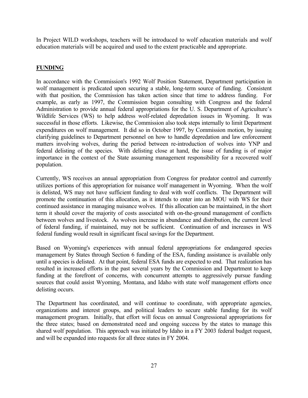In Project WILD workshops, teachers will be introduced to wolf education materials and wolf education materials will be acquired and used to the extent practicable and appropriate.

### **FUNDING**

In accordance with the Commission's 1992 Wolf Position Statement, Department participation in wolf management is predicated upon securing a stable, long-term source of funding. Consistent with that position, the Commission has taken action since that time to address funding. For example, as early as 1997, the Commission began consulting with Congress and the federal Administration to provide annual federal appropriations for the U. S. Department of Agriculture's Wildlife Services (WS) to help address wolf-related depredation issues in Wyoming. It was successful in those efforts. Likewise, the Commission also took steps internally to limit Department expenditures on wolf management. It did so in October 1997, by Commission motion, by issuing clarifying guidelines to Department personnel on how to handle depredation and law enforcement matters involving wolves, during the period between re-introduction of wolves into YNP and federal delisting of the species. With delisting close at hand, the issue of funding is of major importance in the context of the State assuming management responsibility for a recovered wolf population.

Currently, WS receives an annual appropriation from Congress for predator control and currently utilizes portions of this appropriation for nuisance wolf management in Wyoming. When the wolf is delisted, WS may not have sufficient funding to deal with wolf conflicts. The Department will promote the continuation of this allocation, as it intends to enter into an MOU with WS for their continued assistance in managing nuisance wolves. If this allocation can be maintained, in the short term it should cover the majority of costs associated with on-the-ground management of conflicts between wolves and livestock. As wolves increase in abundance and distribution, the current level of federal funding, if maintained, may not be sufficient. Continuation of and increases in WS federal funding would result in significant fiscal savings for the Department.

Based on Wyoming's experiences with annual federal appropriations for endangered species management by States through Section 6 funding of the ESA, funding assistance is available only until a species is delisted. At that point, federal ESA funds are expected to end. That realization has resulted in increased efforts in the past several years by the Commission and Department to keep funding at the forefront of concerns, with concurrent attempts to aggressively pursue funding sources that could assist Wyoming, Montana, and Idaho with state wolf management efforts once delisting occurs.

The Department has coordinated, and will continue to coordinate, with appropriate agencies, organizations and interest groups, and political leaders to secure stable funding for its wolf management program. Initially, that effort will focus on annual Congressional appropriations for the three states; based on demonstrated need and ongoing success by the states to manage this shared wolf population. This approach was initiated by Idaho in a FY 2003 federal budget request, and will be expanded into requests for all three states in FY 2004.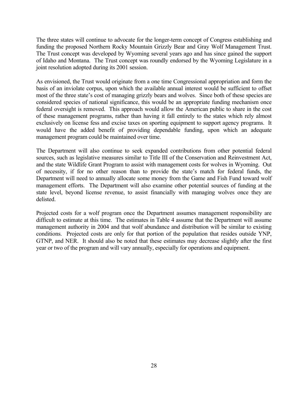The three states will continue to advocate for the longer-term concept of Congress establishing and funding the proposed Northern Rocky Mountain Grizzly Bear and Gray Wolf Management Trust. The Trust concept was developed by Wyoming several years ago and has since gained the support of Idaho and Montana. The Trust concept was roundly endorsed by the Wyoming Legislature in a joint resolution adopted during its 2001 session.

As envisioned, the Trust would originate from a one time Congressional appropriation and form the basis of an inviolate corpus, upon which the available annual interest would be sufficient to offset most of the three state's cost of managing grizzly bears and wolves. Since both of these species are considered species of national significance, this would be an appropriate funding mechanism once federal oversight is removed. This approach would allow the American public to share in the cost of these management programs, rather than having it fall entirely to the states which rely almost exclusively on license fess and excise taxes on sporting equipment to support agency programs. It would have the added benefit of providing dependable funding, upon which an adequate management program could be maintained over time.

The Department will also continue to seek expanded contributions from other potential federal sources, such as legislative measures similar to Title III of the Conservation and Reinvestment Act, and the state Wildlife Grant Program to assist with management costs for wolves in Wyoming. Out of necessity, if for no other reason than to provide the state's match for federal funds, the Department will need to annually allocate some money from the Game and Fish Fund toward wolf management efforts. The Department will also examine other potential sources of funding at the state level, beyond license revenue, to assist financially with managing wolves once they are delisted.

Projected costs for a wolf program once the Department assumes management responsibility are difficult to estimate at this time. The estimates in Table 4 assume that the Department will assume management authority in 2004 and that wolf abundance and distribution will be similar to existing conditions. Projected costs are only for that portion of the population that resides outside YNP, GTNP, and NER. It should also be noted that these estimates may decrease slightly after the first year or two of the program and will vary annually, especially for operations and equipment.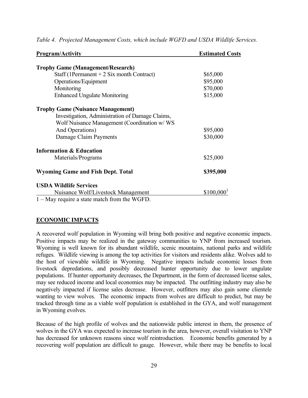| <b>Program/Activity</b>                         | <b>Estimated Costs</b> |
|-------------------------------------------------|------------------------|
| <b>Trophy Game (Management/Research)</b>        |                        |
| Staff (1Permanent + $2$ Six month Contract)     | \$65,000               |
| Operations/Equipment                            | \$95,000               |
| Monitoring                                      | \$70,000               |
| <b>Enhanced Ungulate Monitoring</b>             | \$15,000               |
| <b>Trophy Game (Nuisance Management)</b>        |                        |
| Investigation, Administration of Damage Claims, |                        |
| Wolf Nuisance Management (Coordination w/WS     |                        |
| And Operations)                                 | \$95,000               |
| Damage Claim Payments                           | \$30,000               |
| <b>Information &amp; Education</b>              |                        |
| Materials/Programs                              | \$25,000               |
| <b>Wyoming Game and Fish Dept. Total</b>        | \$395,000              |
| <b>USDA Wildlife Services</b>                   |                        |
| Nuisance Wolf/Livestock Management              | \$100,000              |
| 1 May require a state match from the WGED       |                        |

*Table 4. Projected Management Costs, which include WGFD and USDA Wildlife Services.* 

May require a state match from the WGFD.

#### **ECONOMIC IMPACTS**

A recovered wolf population in Wyoming will bring both positive and negative economic impacts. Positive impacts may be realized in the gateway communities to YNP from increased tourism. Wyoming is well known for its abundant wildlife, scenic mountains, national parks and wildlife refuges. Wildlife viewing is among the top activities for visitors and residents alike. Wolves add to the host of viewable wildlife in Wyoming. Negative impacts include economic losses from livestock depredations, and possibly decreased hunter opportunity due to lower ungulate populations. If hunter opportunity decreases, the Department, in the form of decreased license sales, may see reduced income and local economies may be impacted. The outfitting industry may also be negatively impacted if license sales decrease. However, outfitters may also gain some clientele wanting to view wolves. The economic impacts from wolves are difficult to predict, but may be tracked through time as a viable wolf population is established in the GYA, and wolf management in Wyoming evolves.

Because of the high profile of wolves and the nationwide public interest in them, the presence of wolves in the GYA was expected to increase tourism in the area, however, overall visitation to YNP has decreased for unknown reasons since wolf reintroduction. Economic benefits generated by a recovering wolf population are difficult to gauge. However, while there may be benefits to local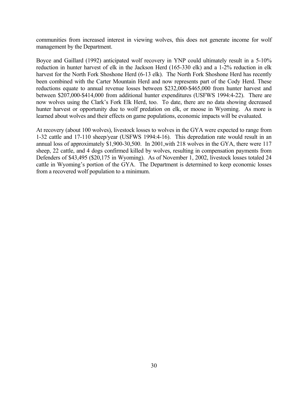communities from increased interest in viewing wolves, this does not generate income for wolf management by the Department.

Boyce and Gaillard (1992) anticipated wolf recovery in YNP could ultimately result in a 5-10% reduction in hunter harvest of elk in the Jackson Herd (165-330 elk) and a 1-2% reduction in elk harvest for the North Fork Shoshone Herd (6-13 elk). The North Fork Shoshone Herd has recently been combined with the Carter Mountain Herd and now represents part of the Cody Herd. These reductions equate to annual revenue losses between \$232,000-\$465,000 from hunter harvest and between \$207,000-\$414,000 from additional hunter expenditures (USFWS 1994:4-22). There are now wolves using the Clark's Fork Elk Herd, too. To date, there are no data showing decreased hunter harvest or opportunity due to wolf predation on elk, or moose in Wyoming. As more is learned about wolves and their effects on game populations, economic impacts will be evaluated.

At recovery (about 100 wolves), livestock losses to wolves in the GYA were expected to range from 1-32 cattle and 17-110 sheep/year (USFWS 1994:4-16). This depredation rate would result in an annual loss of approximately \$1,900-30,500. In 2001,with 218 wolves in the GYA, there were 117 sheep, 22 cattle, and 4 dogs confirmed killed by wolves, resulting in compensation payments from Defenders of \$43,495 (\$20,175 in Wyoming). As of November 1, 2002, livestock losses totaled 24 cattle in Wyoming's portion of the GYA. The Department is determined to keep economic losses from a recovered wolf population to a minimum.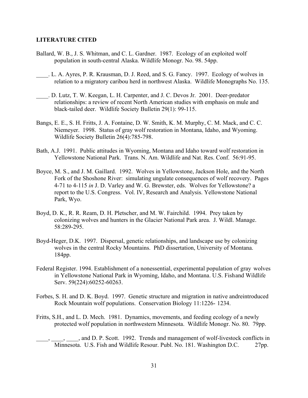#### **LITERATURE CITED**

- Ballard, W. B., J. S. Whitman, and C. L. Gardner. 1987. Ecology of an exploited wolf population in south-central Alaska. Wildlife Monogr. No. 98. 54pp.
- \_\_\_\_. L. A. Ayres, P. R. Krausman, D. J. Reed, and S. G. Fancy. 1997. Ecology of wolves in relation to a migratory caribou herd in northwest Alaska. Wildlife Monographs No. 135.
- \_\_\_\_. D. Lutz, T. W. Keegan, L. H. Carpenter, and J. C. Devos Jr. 2001. Deer-predator relationships: a review of recent North American studies with emphasis on mule and black-tailed deer. Wildlife Society Bulletin 29(1): 99-115.
- Bangs, E. E., S. H. Fritts, J. A. Fontaine, D. W. Smith, K. M. Murphy, C. M. Mack, and C. C. Niemeyer. 1998. Status of gray wolf restoration in Montana, Idaho, and Wyoming. Wildlife Society Bulletin 26(4):785-798.
- Bath, A.J. 1991. Public attitudes in Wyoming, Montana and Idaho toward wolf restoration in Yellowstone National Park. Trans. N. Am. Wildlife and Nat. Res. Conf. 56:91-95.
- Boyce, M. S., and J. M. Gaillard. 1992. Wolves in Yellowstone, Jackson Hole, and the North Fork of the Shoshone River: simulating ungulate consequences of wolf recovery. Pages 4-71 to 4-115 *in* J. D. Varley and W. G. Brewster, eds. Wolves for Yellowstone? a report to the U.S. Congress. Vol. IV, Research and Analysis. Yellowstone National Park, Wyo.
- Boyd, D. K., R. R. Ream, D. H. Pletscher, and M. W. Fairchild. 1994. Prey taken by colonizing wolves and hunters in the Glacier National Park area. J. Wildl. Manage. 58:289-295.
- Boyd-Heger, D.K. 1997. Dispersal, genetic relationships, and landscape use by colonizing wolves in the central Rocky Mountains. PhD dissertation, University of Montana. 184pp.
- Federal Register. 1994. Establishment of a nonessential, experimental population of gray wolves in Yellowstone National Park in Wyoming, Idaho, and Montana. U.S. Fish and Wildlife Serv. 59(224):60252-60263.
- Forbes, S. H. and D. K. Boyd. 1997. Genetic structure and migration in native andreintroduced Rock Mountain wolf populations. Conservation Biology 11:1226- 1234.
- Fritts, S.H., and L. D. Mech. 1981. Dynamics, movements, and feeding ecology of a newly protected wolf population in northwestern Minnesota. Wildlife Monogr. No. 80. 79pp.

\_\_\_\_, \_\_\_\_, \_\_\_\_, and D. P. Scott. 1992. Trends and management of wolf-livestock conflicts in Minnesota. U.S. Fish and Wildlife Resour. Publ. No. 181. Washington D.C. 27pp.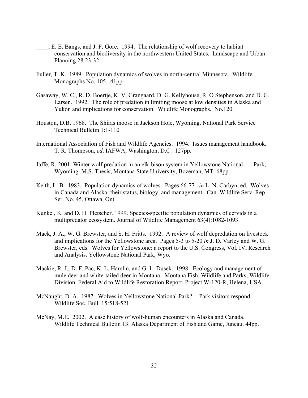- \_\_\_\_, E. E. Bangs, and J. F. Gore. 1994. The relationship of wolf recovery to habitat conservation and biodiversity in the northwestern United States. Landscape and Urban Planning 28:23-32.
- Fuller, T. K. 1989. Population dynamics of wolves in north-central Minnesota. Wildlife Monographs No. 105. 41pp.
- Gasaway, W. C., R. D. Boertje, K. V. Grangaard, D. G. Kellyhouse, R. O Stephenson, and D. G. Larsen. 1992. The role of predation in limiting moose at low densities in Alaska and Yukon and implications for conservation. Wildlife Monographs. No.120.
- Houston, D.B. 1968. The Shiras moose in Jackson Hole, Wyoming. National Park Service Technical Bulletin 1:1-110
- International Association of Fish and Wildlife Agencies. 1994. Issues management handbook. T. R. Thompson, *ed*. IAFWA, Washington, D.C. 127pp.
- Jaffe, R. 2001. Winter wolf predation in an elk-bison system in Yellowstone National Park, Wyoming. M.S. Thesis, Montana State University, Bozeman, MT. 68pp.
- Keith, L. B. 1983. Population dynamics of wolves. Pages 66-77 *in* L. N. Carbyn, ed. Wolves in Canada and Alaska: their status, biology, and management. Can. Wildlife Serv. Rep. Ser. No. 45, Ottawa, Ont.
- Kunkel, K. and D. H. Pletscher. 1999. Species-specific population dynamics of cervids in a multipredator ecosystem. Journal of Wildlife Management 63(4):1082-1093.
- Mack, J. A., W. G. Brewster, and S. H. Fritts. 1992. A review of wolf depredation on livestock and implications for the Yellowstone area. Pages 5-3 to 5-20 *in* J. D. Varley and W. G. Brewster, eds. Wolves for Yellowstone: a report to the U.S. Congress, Vol. IV, Research and Analysis. Yellowstone National Park, Wyo.
- Mackie, R. J., D. F. Pac, K. L. Hamlin, and G. L. Dusek. 1998. Ecology and management of mule deer and white-tailed deer in Montana. Montana Fish, Wildlife and Parks, Wildlife Division, Federal Aid to Wildlife Restoration Report, Project W-120-R, Helena, USA.
- McNaught, D. A. 1987. Wolves in Yellowstone National Park?-- Park visitors respond. Wildlife Soc. Bull. 15:518-521.
- McNay, M.E. 2002. A case history of wolf-human encounters in Alaska and Canada. Wildlife Technical Bulletin 13. Alaska Department of Fish and Game, Juneau. 44pp.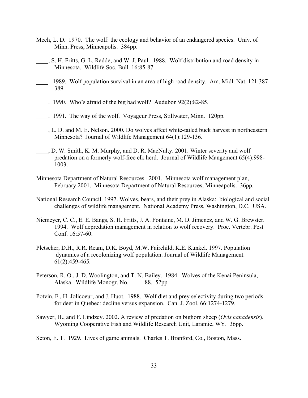- Mech, L. D. 1970. The wolf: the ecology and behavior of an endangered species. Univ. of Minn. Press, Minneapolis. 384pp.
- \_\_\_\_, S. H. Fritts, G. L. Radde, and W. J. Paul. 1988. Wolf distribution and road density in Minnesota. Wildlife Soc. Bull. 16:85-87.
- \_\_\_\_. 1989. Wolf population survival in an area of high road density. Am. Midl. Nat. 121:387- 389.
- $\therefore$  1990. Who's afraid of the big bad wolf? Audubon 92(2):82-85.
- \_\_\_\_. 1991. The way of the wolf. Voyageur Press, Stillwater, Minn. 120pp.
- \_\_\_\_, L. D. and M. E. Nelson. 2000. Do wolves affect white-tailed buck harvest in northeastern Minnesota? Journal of Wildlife Management 64(1):129-136.
- \_\_\_\_, D. W. Smith, K. M. Murphy, and D. R. MacNulty. 2001. Winter severity and wolf predation on a formerly wolf-free elk herd. Journal of Wildlife Mangement 65(4):998- 1003.
- Minnesota Department of Natural Resources. 2001. Minnesota wolf management plan, February 2001. Minnesota Department of Natural Resources, Minneapolis. 36pp.
- National Research Council. 1997. Wolves, bears, and their prey in Alaska: biological and social challenges of wildlife management. National Academy Press, Washington, D.C. USA.
- Niemeyer, C. C., E. E. Bangs, S. H. Fritts, J. A. Fontaine, M. D. Jimenez, and W. G. Brewster. 1994. Wolf depredation management in relation to wolf recovery. Proc. Vertebr. Pest Conf. 16:57-60.
- Pletscher, D.H., R.R. Ream, D.K. Boyd, M.W. Fairchild, K.E. Kunkel. 1997. Population dynamics of a recolonizing wolf population. Journal of Wildlife Management. 61(2):459-465.
- Peterson, R. O., J. D. Woolington, and T. N. Bailey. 1984. Wolves of the Kenai Peninsula, Alaska. Wildlife Monogr. No. 88. 52pp.
- Potvin, F., H. Jolicoeur, and J. Huot. 1988. Wolf diet and prey selectivity during two periods for deer in Quebec: decline versus expansion. Can. J. Zool. 66:1274-1279.
- Sawyer, H., and F. Lindzey. 2002. A review of predation on bighorn sheep (*Ovis* c*anadensis*). Wyoming Cooperative Fish and Wildlife Research Unit, Laramie, WY. 36pp.
- Seton, E. T. 1929. Lives of game animals. Charles T. Branford, Co., Boston, Mass.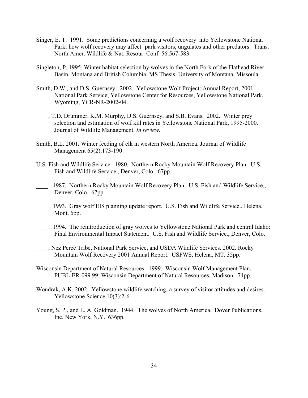- Singer, E. T. 1991. Some predictions concerning a wolf recovery into Yellowstone National Park: how wolf recovery may affect park visitors, ungulates and other predators. Trans. North Amer. Wildlife & Nat. Resour. Conf. 56:567-583.
- Singleton, P. 1995. Winter habitat selection by wolves in the North Fork of the Flathead River Basin, Montana and British Columbia. MS Thesis, University of Montana, Missoula.
- Smith, D.W., and D.S. Guernsey. 2002. Yellowstone Wolf Project: Annual Report, 2001. National Park Service, Yellowstone Center for Resources, Yellowstone National Park, Wyoming, YCR-NR-2002-04.
- \_\_\_\_, T.D. Drummer, K.M. Murphy, D.S. Guernsey, and S.B. Evans. 2002. Winter prey selection and estimation of wolf kill rates in Yellowstone National Park, 1995-2000. Journal of Wildlife Management. *In review*.
- Smith, B.L. 2001. Winter feeding of elk in western North America. Journal of Wildlife Management 65(2):173-190.
- U.S. Fish and Wildlife Service. 1980. Northern Rocky Mountain Wolf Recovery Plan. U.S. Fish and Wildlife Service., Denver, Colo. 67pp.
- \_\_\_\_. 1987. Northern Rocky Mountain Wolf Recovery Plan. U.S. Fish and Wildlife Service., Denver, Colo. 67pp.
- \_\_\_\_. 1993. Gray wolf EIS planning update report. U.S. Fish and Wildlife Service., Helena, Mont. 6pp.
- \_\_\_\_. 1994. The reintroduction of gray wolves to Yellowstone National Park and central Idaho: Final Environmental Impact Statement. U.S. Fish and Wildlife Service., Denver, Colo.
- \_\_\_\_, Nez Perce Tribe, National Park Service, and USDA Wildlife Services. 2002. Rocky Mountain Wolf Recovery 2001 Annual Report. USFWS, Helena, MT. 35pp.
- Wisconsin Department of Natural Resources. 1999. Wisconsin Wolf Management Plan. PUBL-ER-099 99. Wisconsin Department of Natural Resources, Madison. 74pp.
- Wondrak, A.K. 2002. Yellowstone wildlife watching; a survey of visitor attitudes and desires. Yellowstone Science 10(3):2-6.
- Young, S. P., and E. A. Goldman. 1944. The wolves of North America. Dover Publications, Inc. New York, N.Y. 636pp.